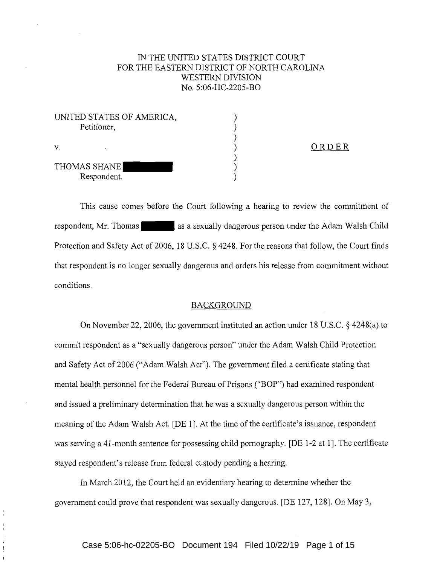# IN THE UNITED STATES DISTRICT COURT FOR THE EASTERN DISTRICT OF NORTH CAROLINA WESTERN DIVISION No. 5:06-HC-2205-BO

| UNITED STATES OF AMERICA,<br>Petitioner, |  |
|------------------------------------------|--|
|                                          |  |
| $\mathbf{V}_{-}$                         |  |
| THOMAS SHANE                             |  |
| Respondent.                              |  |

ORDER

This cause comes before the Court following a hearing to review the commitment of respondent, Mr. Thomas as a sexually dangerous person under the Adam Walsh Child Protection and Safety Act of 2006, 18 U.S.C. § 4248. For the reasons that follow, the Court finds that respondent is no longer sexually dangerous and orders his release from commitment without conditions.

# BACKGROUND

On November 22, 2006, the government instituted an action under 18 U.S.C. § 4248(a) to commit respondent as a "sexually dangerous person" under the Adam Walsh Child Protection and Safety Act of 2006 ("Adam Walsh Act"). The government filed a certificate stating that mental health personnel for the Federal Bureau of Prisons ("BOP") had examined respondent and issued a preliminary determination that he was a sexually dangerous person within the meaning of the Adam Walsh Act. [DE 1]. At the time of the certificate's issuance, respondent was serving a 41-month sentence for possessing child pornography. [DE 1-2 at 1]. The certificate stayed respondent's release from federal custody pending a hearing.

In March 2012, the Court held an evidentiary hearing to determine whether the government could prove that respondent was sexually dangerous. [DE 127, 128]. On May 3,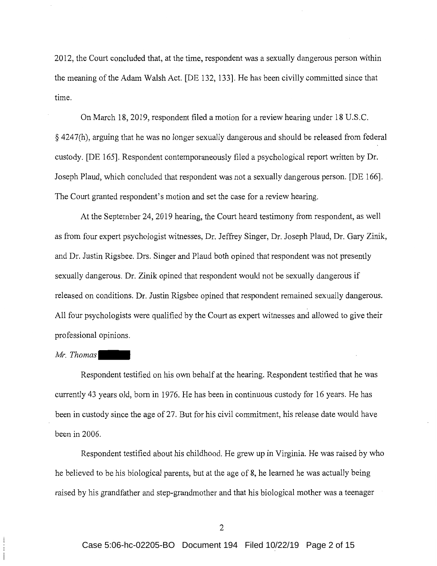2012, the Court concluded that, at the time, respondent was a sexually dangerous person within the meaning of the Adam Walsh Act. [DE 132, 133]. He has been civilly committed since that time.

On March 18, 2019, respondent filed a motion for a review hearing under 18 U.S.C. § 4247(h), arguing that he was no longer sexually dangerous and should be released from federal custody. [DE 165]. Respondent contemporaneously filed a psychological report written by Dr. Joseph Plaud, which concluded that respondent was not a sexually dangerous person. [DE 166]. The Court granted respondent's motion and set the case for a review hearing.

At the September 24, 2019 hearing, the Court heard testimony from respondent, as well as from four expert psychologist witnesses, Dr. Jeffrey Singer, Dr. Joseph Plaud, Dr. Gary Zinik, and Dr. Justin Rigsbee. Drs. Singer and Plaud both opined that respondent was not presently sexually dangerous. Dr. Zinik opined that respondent would not be sexually dangerous if released on conditions. Dr. Justin Rigsbee opined that respondent remained sexually dangerous. All four psychologists were qualified by the Court as expert witnesses and allowed to give their professional opinions.

#### *Mr. Thomas*

Respondent testified on his own behalf at the hearing. Respondent testified that he was currently 43 years old, born in 1976. He has been in continuous custody for 16 years. He has been in custody since the age of 27. But for his civil commitment, his release date would have been in 2006.

Respondent testified about his childhood. He grew up in Virginia. He was raised by who he believed to be his biological parents, but at the age of 8, he learned he was actually being raised by his grandfather and step-grandmother and that his biological mother was a teenager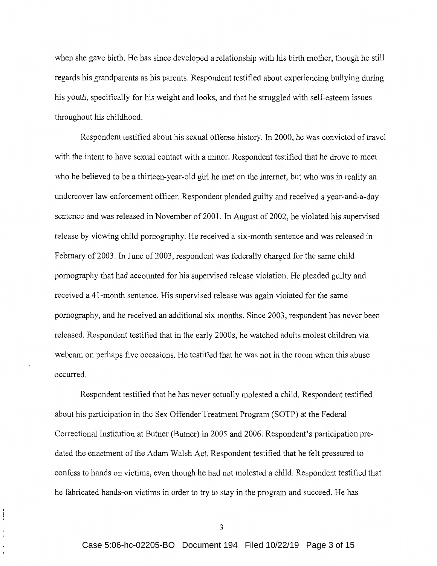when she gave birth. He has since developed a relationship with his birth mother, though he still regards his grandparents as his parents. Respondent testified about experiencing bullying during his youth, specifically for his weight and looks, and that he struggled with self-esteem issues throughout his childhood.

Respondent testified about his sexual offense history. In 2000, he was convicted of travel with the intent to have sexual contact with a minor. Respondent testified that he drove to meet who he believed to be a thirteen-year-old girl he met on the internet, but who was in reality an undercover law enforcement officer. Respondent pleaded guilty and received a year-and-a-day sentence and was released in November of 2001. In August of 2002, he violated his supervised release by viewing child pornography. He received a six-month sentence and was released in February of 2003. In June of 2003, respondent was federally charged for the same child pornography that had accounted for his supervised release violation. He pleaded guilty and received a 41-month sentence. His supervised release was again violated for the same pornography, and he received an additional six months. Since 2003, respondent has never been released. Respondent testified that in the early 2000s, he watched adults molest children via webcam on perhaps five occasions. He testified that he was not in the room when this abuse occurred.

Respondent testified that he has never actually molested a child. Respondent testified about his participation in the Sex Offender Treatment Program (SOTP) at the Federal Correctional Institution at Butner (Butner) in 2005 and 2006. Respondent's participation predated the enactment of the Adam Walsh Act. Respondent testified that he felt pressured to confess to hands on victims, even though he had not molested a child. Respondent testified that he fabricated hands-on victims in order to try to stay in the program and succeed. He has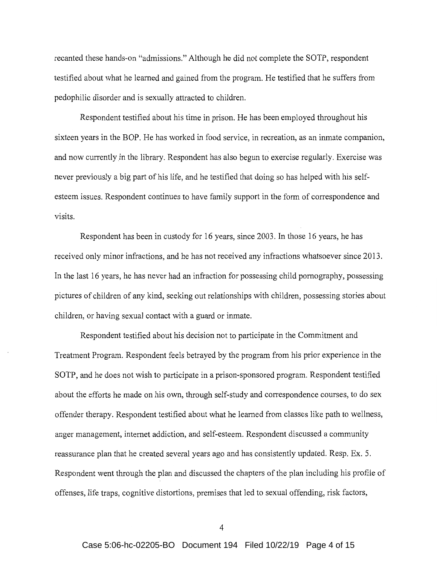recanted these hands-on "admissions." Although he did not complete the SOTP, respondent testified about what he learned and gained from the program. He testified that he suffers from pedophilic disorder and is sexually attracted to children.

Respondent testified about his time in prison. He has been employed throughout his sixteen years in the BOP. He has worked in food service, in recreation, as an inmate companion, and now currently in the library. Respondent has also begun to exercise regularly. Exercise was never previously a big part of his life, and he testified that doing so has helped with his selfesteem issues. Respondent continues to have family support in the form of correspondence and visits.

Respondent has been in custody for 16 years, since 2003. In those 16 years, he has received only minor infractions, and he has not received any infractions whatsoever since 2013. In the last 16 years, he has never had an infraction for possessing child pornography, possessing pictures of children of any kind, seeking out relationships with children, possessing stories about children, or having sexual contact with a guard or inmate.

Respondent testified about his decision not to participate in the Commitment and Treatment Program. Respondent feels betrayed by the program from his prior experience in the SOTP, and he does not wish to participate in a prison-sponsored program. Respondent testified about the efforts he made on his own, through self-study and correspondence courses, to do sex offender therapy. Respondent testified about what he learned from classes like path to wellness, anger management, internet addiction, and self-esteem. Respondent discussed a community reassurance plan that he created several years ago and has consistently updated. Resp. Ex. 5. Respondent went through the plan and discussed the chapters of the plan including his profile of offenses, life traps, cognitive distortions, premises that led to sexual offending, risk factors,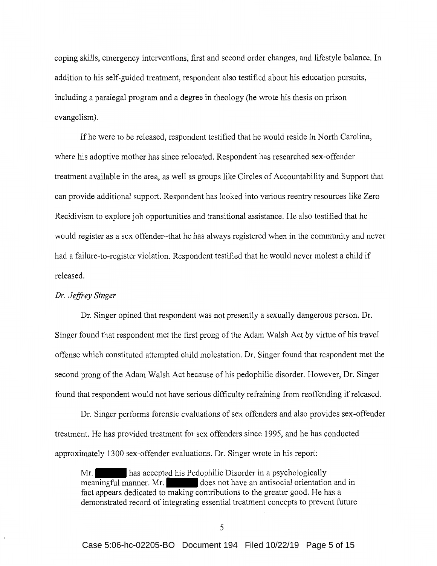coping skills, emergency interventions, first and second order changes, and lifestyle balance. In addition to his self-guided treatment, respondent also testified about his education pursuits, including a paralegal program and a degree in theology (he wrote his thesis on prison evangelism).

If he were to be released, respondent testified that he would reside in North Carolina, where his adoptive mother has since relocated. Respondent has researched sex-offender treatment available in the area, as well as groups like Circles of Accountability and Support that can provide additional support. Respondent has looked into various reentry resources like Zero Recidivism to explore job opportunities and transitional assistance. He also testified that he would register as a sex offender-that he has always registered when in the community and never had a failure-to-register violation. Respondent testified that he would never molest a child if released.

### *Dr. Jeffrey Singer*

Dr. Singer opined that respondent was not presently a sexually dangerous person. Dr. Singer found that respondent met the first prong of the Adam Walsh Act by virtue of his travel offense which constituted attempted child molestation. Dr. Singer found that respondent met the second prong of the Adam Walsh Act because of his pedophilic disorder. However, Dr. Singer found that respondent would not have serious difficulty refraining from reoffending if released.

Dr. Singer performs forensic evaluations of sex offenders and also provides sex-offender treatment. He has provided treatment for sex offenders since 1995, and he has conducted approximately 1300 sex-offender evaluations. Dr. Singer wrote in his report:

Mr. has accepted his Pedophilic Disorder in a psychologically meaningful manner. Mr. does not have an antisocial orientation and in fact appears dedicated to making contributions to the greater good. He has a demonstrated record of integrating essential treatment concepts to prevent future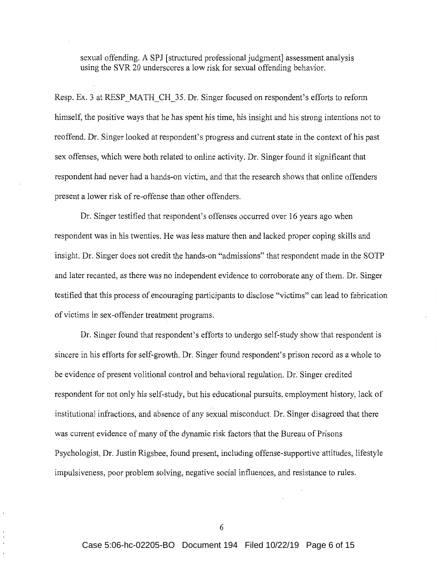sexual offending. A SPJ [structured professional judgment] assessment analysis using the SVR 20 underscores a low risk for sexual offending behavior.

Resp. Ex. 3 at RESP MATH CH 35. Dr. Singer focused on respondent's efforts to reform himself, the positive ways that he has spent his time, his insight and his strong intentions not to reoffend. Dr. Singer looked at respondent's progress and current state in the context of his past sex offenses, which were both related to online activity. Dr. Singer found it significant that respondent had never had a hands-on victim, and that the research shows that online offenders present a lower risk of re-offense than other offenders.

Dr. Singer testified that respondent's offenses occurred over 16 years ago when respondent was in his twenties. He was less mature then and lacked proper coping skills and insight. Dr. Singer does not credit the hands-on "admissions" that respondent made in the SOTP and later recanted, as there was no independent evidence to corroborate any of them. Dr. Singer testified that this process of encouraging participants to disclose "victims" can lead to fabrication of victims in sex-offender treatment programs.

Dr. Singer found that respondent's efforts to undergo self-study show that respondent is sincere in his efforts for self-growth. Dr. Singer found respondent's prison record as a whole to be evidence of present volitional control and behavioral regulation. Dr. Singer credited respondent for not only his self-study, but his educational pursuits, employment history, lack of institutional infractions, and absence of any sexual misconduct. Dr. Singer disagreed that there was current evidence of many of the dynamic risk factors that the Bureau of Prisons Psychologist, Dr. Justin Rigsbee, found present, including offense-supportive attitudes, lifestyle impulsiveness, poor problem solving, negative social influences, and resistance to rules.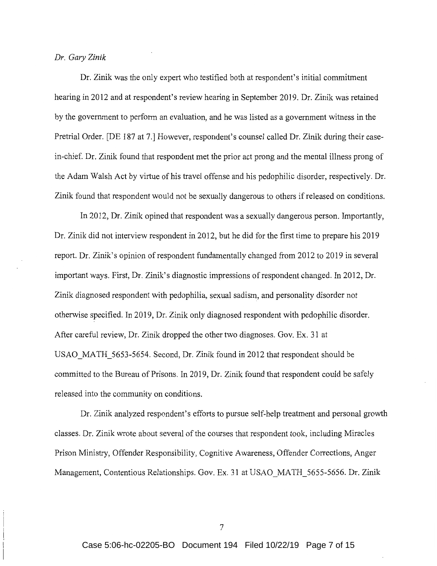#### *Dr. Gary Zinik*

Dr. Zinik was the only expert who testified both at respondent's initial commitment hearing in 2012 and at respondent's review hearing in September 2019. Dr. Zinik was retained by the government to perform an evaluation, and he was listed as a government witness in the Pretrial Order. [DE 187 at 7.] However, respondent's counsel called Dr. Zinik during their casein-chief. Dr. Zinik found that respondent met the prior act prong and the mental illness prong of the Adam Walsh Act by virtue of his travel offense and his pedophilic disorder, respectively. Dr. Zinik found that respondent would not be sexually dangerous to others if released on conditions.

In 2012, Dr. Zinik opined that respondent was a sexually dangerous person. Importantly, Dr. Zinik did not interview respondent in 2012, but he did for the first time to prepare his 2019 report. Dr. Zinik's opinion of respondent fundamentally changed from 2012 to 2019 in several important ways. First, Dr. Zinik's diagnostic impressions of respondent changed. In 2012, Dr. Zinik diagnosed respondent with pedophilia, sexual sadism, and personality disorder not otherwise specified. In 2019, Dr. Zinik only diagnosed respondent with pedophilic disorder. After careful review, Dr. Zinik dropped the other two diagnoses. Gov. Ex. 31 at USAO\_MATH\_5653-5654. Second, Dr. Zinik found in 2012 that respondent should be committed to the Bureau of Prisons. In 2019, Dr. Zinik found that respondent could be safely released into the community on conditions.

Dr. Zinik analyzed respondent's efforts to pursue self-help treatment and personal growth classes. Dr. Zinik wrote about several of the courses that respondent took, including Miracles Prison Ministry, Offender Responsibility, Cognitive Awareness, Offender Corrections, Anger Management, Contentious Relationships. Gov. Ex. 31 at USAO MATH 5655-5656. Dr. Zinik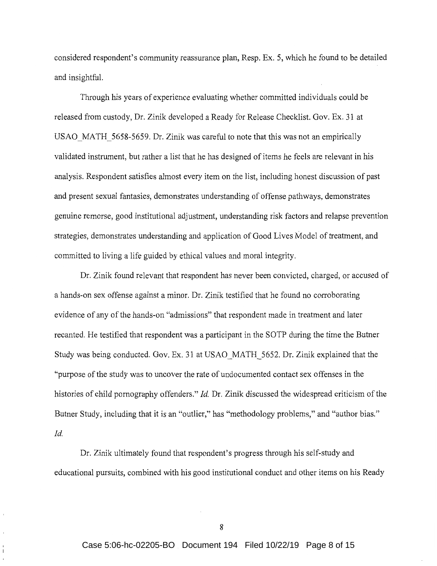considered respondent's community reassurance plan, Resp. Ex. 5, which he found to be detailed and insightful.

Through his years of experience evaluating whether committed individuals could be released from custody, Dr. Zinik developed a Ready for Release Checklist. Gov. Ex. 31 at USAO MATH 5658-5659. Dr. Zinik was careful to note that this was not an empirically validated instrument, but rather a list that he has designed of items he feels are relevant in his analysis. Respondent satisfies almost every item on the list, including honest discussion of past and present sexual fantasies, demonstrates understanding of offense pathways, demonstrates genuine remorse, good institutional adjustment, understanding risk factors and relapse prevention strategies, demonstrates understanding and application of Good Lives Model of treatment, and committed to living a life guided by ethical values and moral integrity.

Dr. Zinik found relevant that respondent has never been convicted, charged, or accused of a hands-on sex offense against a minor. Dr. Zinik testified that he found no corroborating evidence of any of the hands-on "admissions" that respondent made in treatment and later recanted. He testified that respondent was a participant in the SOTP during the time the Butner Study was being conducted. Gov. Ex. 31 at USAO MATH 5652. Dr. Zinik explained that the "purpose of the study was to uncover the rate of undocumented contact sex offenses in the histories of child pornography offenders." *Id.* Dr. Zinik discussed the widespread criticism of the Butner Study, including that it is an "outlier," has "methodology problems," and "author bias." *Id.* 

Dr. Zinik ultimately found that respondent's progress through his self-study and educational pursuits, combined with his good institutional conduct and other items on his Ready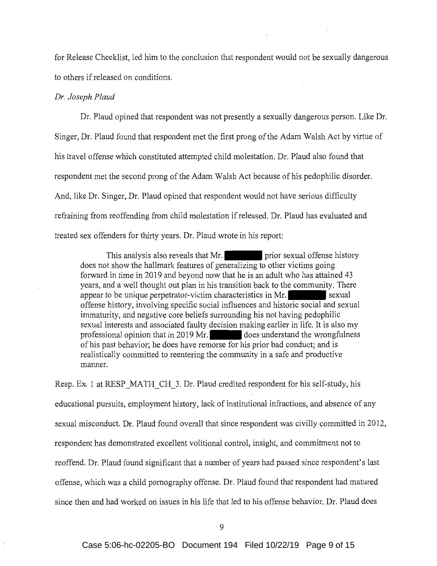for Release Checklist, led him to the conclusion that respondent would not be sexually dangerous to others if released on conditions.

# *Dr. Joseph Plaud*

Dr. Plaud opined that respondent was not presently a sexually dangerous person. Like Dr. Singer, Dr. Plaud found that respondent met the first prong of the Adam Walsh Act by virtue of his travel offense which constituted attempted child molestation. Dr. Plaud also found that respondent met the second prong of the Adam Walsh Act because of his pedophilic disorder. And, like Dr. Singer, Dr. Plaud opined that respondent would not have serious difficulty refraining from reoffending from child molestation if released. Dr. Plaud has evaluated and treated sex offenders for thirty years. Dr. Plaud wrote in his report:

This analysis also reveals that Mr. prior sexual offense history does not show the hallmark features of generalizing to other victims going forward in time in 2019 and beyond now that he is an adult who has attained 43 years, and a well thought out plan in his transition back to the community. There appear to be unique perpetrator-victim characteristics in Mr. offense history, involving specific social influences and historic social and sexual immaturity, and negative core beliefs surrounding his not having pedophilic sexual interests and associated faulty decision making earlier in life. It is also my professional opinion that in 2019 Mr. does understand the wrongfulness of his past behavior; he does have remorse for his prior bad conduct; and is realistically committed to reentering the community in a safe and productive manner.

Resp. Ex. 1 at RESP MATH CH 3. Dr. Plaud credited respondent for his self-study, his educational pursuits, employment history, lack of institutional infractions, and absence of any sexual misconduct. Dr. Plaud found overall that since respondent was civilly committed in 2012, respondent has demonstrated excellent volitional control, insight, and commitment not to reoffend. Dr. Plaud found significant that a number of years had passed since respondent's last offense, which was a child pornography offense. Dr. Plaud found that respondent had matured since then and had worked on issues in his life that led to his offense behavior. Dr. Plaud does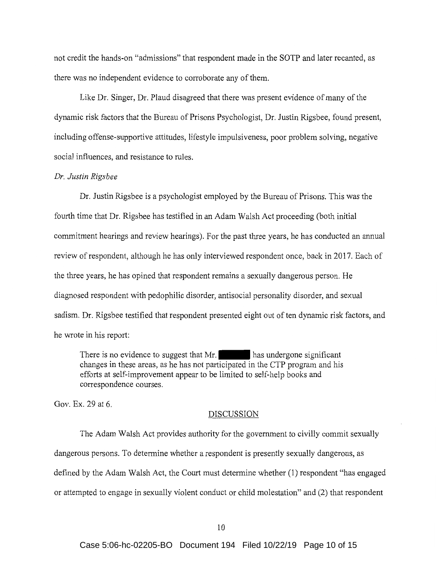not credit the hands-on "admissions" that respondent made in the SOTP and later recanted, as there was no independent evidence to corroborate any of them.

Like Dr. Singer, Dr. Plaud disagreed that there was present evidence of many of the dynamic risk factors that the Bureau of Prisons Psychologist, Dr. Justin Rigsbee, found present, including offense-supportive attitudes, lifestyle impulsiveness, poor problem solving, negative social influences, and resistance to rules.

#### *Dr. Justin Rigsbee*

Dr. Justin Rigsbee is a psychologist employed by the Bureau of Prisons. This was the fourth time that Dr. Rigsbee has testified in an Adam Walsh Act proceeding (both initial commitment hearings and review hearings). For the past three years, he has conducted an annual review of respondent, although he has only interviewed respondent once, back in 2017. Each of the three years, he has opined that respondent remains a sexually dangerous person. He diagnosed respondent with pedophilic disorder, antisocial personality disorder, and sexual sadism. Dr. Rigsbee testified that respondent presented eight out of ten dynamic risk factors, and he wrote in his report:

There is no evidence to suggest that Mr.  $\blacksquare$  has undergone significant changes in these areas, as he has not participated in the CTP program and his efforts at self-improvement appear to be limited to self-help books and correspondence courses.

Gov. Ex. 29 at 6.

#### DISCUSSION

The Adam Walsh Act provides authority for the government to civilly commit sexually dangerous persons. To determine whether a respondent is presently sexually dangerous, as defined by the Adam Walsh Act, the Court must determine whether (1) respondent "has engaged or attempted to engage in sexually violent conduct or child molestation" and (2) that respondent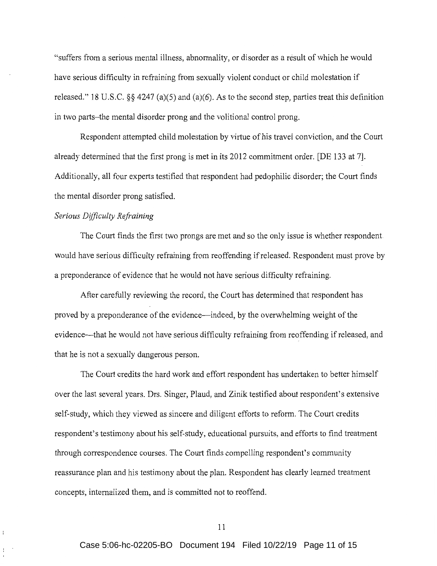"suffers from a serious mental illness, abnormality, or disorder as a result of which he would have serious difficulty in refraining from sexually violent conduct or child molestation if released." 18 U.S.C.  $\S$  4247 (a)(5) and (a)(6). As to the second step, parties treat this definition in two parts-the mental disorder prong and the volitional control prong.

Respondent attempted child molestation by virtue of his travel conviction, and the Court already determined that the first prong is met in its 2012 commitment order. [DE 133 at 7]. Additionally, all four experts testified that respondent had pedophilic disorder; the Court finds the mental disorder prong satisfied.

# *Serious Difficulty Refraining*

÷.

The Court finds the first two prongs are met and so the only issue is whether respondent would have serious difficulty refraining from reoffending if released. Respondent must prove by a preponderance of evidence that he would not have serious difficulty refraining.

After carefully reviewing the record, the Court has determined that respondent has proved by a preponderance of the evidence-indeed, by the overwhelming weight of the evidence—that he would not have serious difficulty refraining from reoffending if released, and that he is not a sexually dangerous person.

The Court credits the hard work and effort respondent has undertaken to better himself over the last several years. Drs. Singer, Plaud, and Zinik testified about respondent's extensive self-study, which they viewed as sincere and diligent efforts to reform. The Court credits respondent's testimony about his self-study, educational pursuits, and efforts to find treatment through correspondence courses. The Court finds compelling respondent's community reassurance plan and his testimony about the plan. Respondent has clearly learned treatment concepts, internalized them, and is committed not to reoffend.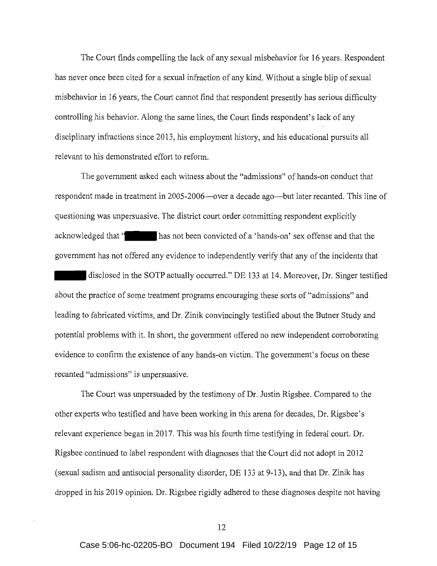The Court finds compelling the lack of any sexual misbehavior for 16 years. Respondent has never once been cited for a sexual infraction of any kind. Without a single blip of sexual misbehavior in 16 years, the Court cannot find that respondent presently has serious difficulty controlling his behavior. Along the same lines, the Court finds respondent's lack of any disciplinary infractions since 2013, his employment history, and his educational pursuits all relevant to his demonstrated effort to reform.

The government asked each witness about the "admissions" of hands-on conduct that respondent made in treatment in 2005-2006—over a decade ago—but later recanted. This line of questioning was unpersuasive. The district court order committing respondent explicitly acknowledged that " has not been convicted of a 'hands-on' sex offense and that the government has not offered any evidence to independently verify that any of the incidents that disclosed in the SOTP actually occurred." DE 133 at 14. Moreover, Dr. Singer testified about the practice of some treatment programs encouraging these sorts of "admissions" and leading to fabricated victims, and Dr. Zinik convincingly testified about the Butner Study and potential problems with it. In short, the government offered no new independent corroborating evidence to confirm the existence of any hands-on victim. The government's focus on these recanted "admissions" is unpersuasive.

The Court was unpersuaded by the testimony of Dr. Justin Rigsbee. Compared to the other experts who testified and have been working in this arena for decades, Dr. Rigsbee's relevant experience began in 2017. This was his fourth time testifying in federal court. Dr. Rigsbee continued to label respondent with diagnoses that the Court did not adopt in 2012 (sexual sadism and antisocial personality disorder, DE 133 at 9-13), and that Dr. Zinik has dropped in his 2019 opinion. Dr. Rigsbee rigidly adhered to these diagnoses despite not having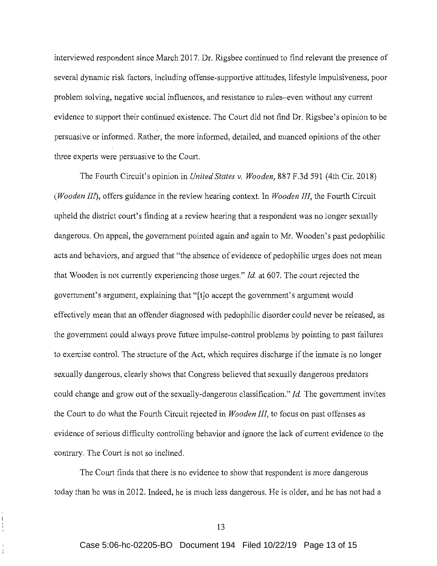interviewed respondent since March 2017. Dr. Rigsbee continued to find relevant the presence of several dynamic risk factors, including offense-supportive attitudes, lifestyle impulsiveness, poor problem solving, negative social influences, and resistance to rules-even without any current evidence to support their continued existence. The Court did not find Dr. Rigsbee's opinion to be persuasive or informed. Rather, the more informed, detailed, and nuanced opinions of the other three experts were persuasive to the Court.

The Fourth Circuit's opinion in *United States v. Wooden,* 887 F.3d 591 (4th Cir. 2018) *(Wooden III),* offers guidance in the review hearing context. In *Wooden III,* the Fourth Circuit upheld the district court's finding at a review hearing that a respondent was no longer sexually dangerous. On appeal, the government pointed again and again to Mr. Wooden's past pedophilic acts and behaviors, and argued that "the absence of evidence of pedophilic urges does not mean that Wooden is not currently experiencing those urges." *Id* at 607. The court rejected the government's argument, explaining that "[t]o accept the government's argument would effectively mean that an offender diagnosed with pedophilic disorder could never be released, as the government could always prove future impulse-control problems by pointing to past failures to exercise control. The structure of the Act, which requires discharge if the inmate is no longer sexually dangerous, clearly shows that Congress believed that sexually dangerous predators could change and grow out of the sexually-dangerous classification." *Id.* The government invites the Court to do what the Fourth Circuit rejected in *Wooden III,* to focus on past offenses as evidence of serious difficulty controlling behavior and ignore the lack of current evidence to the contrary. The Court is not so inclined.

The Court finds that there is no evidence to show that respondent is more dangerous today than he was in 2012. Indeed, he is much less dangerous. He is older, and he has not had a

Ť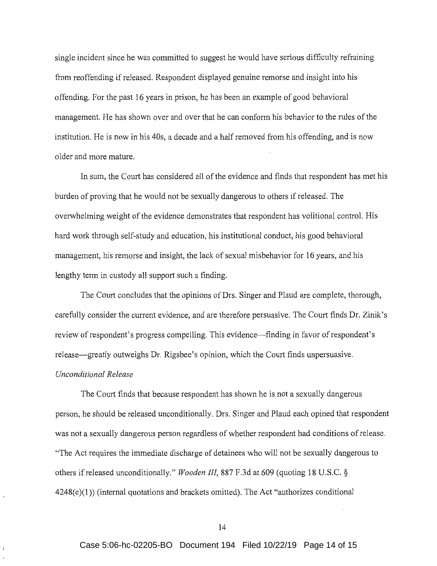single incident since he was committed to suggest he would have serious difficulty refraining from reoffending if released. Respondent displayed genuine remorse and insight into his offending. For the past 16 years in prison, he has been an example of good behavioral management. He has shown over and over that he can conform his behavior to the rules of the institution. He is now in his 40s, a decade and a half removed from his offending, and is now older and more mature.

In sum, the Court has considered all of the evidence and finds that respondent has met his burden of proving that he would not be sexually dangerous to others if released. The overwhelming weight of the evidence demonstrates that respondent has volitional control. His hard work through self-study and education, his institutional conduct, his good behavioral management, his remorse and insight, the lack of sexual misbehavior for 16 years, and his lengthy term in custody all support such a finding.

The Court concludes that the opinions of Drs. Singer and Plaud are complete, thorough, carefully consider the current evidence, and are therefore persuasive. The Court finds Dr. Zinik's review of respondent's progress compelling. This evidence—finding in favor of respondent's release—greatly outweighs Dr. Rigsbee's opinion, which the Court finds unpersuasive.

## *Unconditional Release*

The Court finds that because respondent has shown he is not a sexually dangerous person, he should be released unconditionally. Drs. Singer and Plaud each opined that respondent was not a sexually dangerous person regardless of whether respondent had conditions of release. "The Act requires the immediate discharge of detainees who will not be sexually dangerous to others if released unconditionally." *Wooden III,* 887 F.3d at 609 (quoting 18 U.S.C. §  $4248(e)(1)$ ) (internal quotations and brackets omitted). The Act "authorizes conditional